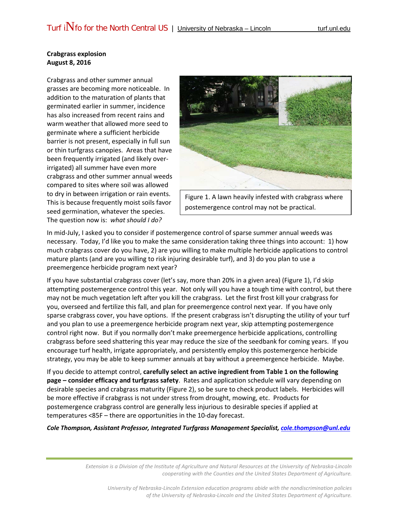## **Crabgrass explosion August 8, 2016**

Crabgrass and other summer annual grasses are becoming more noticeable. In addition to the maturation of plants that germinated earlier in summer, incidence has also increased from recent rains and warm weather that allowed more seed to germinate where a sufficient herbicide barrier is not present, especially in full sun or thin turfgrass canopies. Areas that have been frequently irrigated (and likely overirrigated) all summer have even more crabgrass and other summer annual weeds compared to sites where soil was allowed to dry in between irrigation or rain events. This is because frequently moist soils favor seed germination, whatever the species. The question now is: *what should I do?*



Figure 1. A lawn heavily infested with crabgrass where postemergence control may not be practical.

In mid-July, I asked you to consider if postemergence control of sparse summer annual weeds was necessary. Today, I'd like you to make the same consideration taking three things into account: 1) how much crabgrass cover do you have, 2) are you willing to make multiple herbicide applications to control mature plants (and are you willing to risk injuring desirable turf), and 3) do you plan to use a preemergence herbicide program next year?

If you have substantial crabgrass cover (let's say, more than 20% in a given area) (Figure 1), I'd skip attempting postemergence control this year. Not only will you have a tough time with control, but there may not be much vegetation left after you kill the crabgrass. Let the first frost kill your crabgrass for you, overseed and fertilize this fall, and plan for preemergence control next year. If you have only sparse crabgrass cover, you have options. If the present crabgrass isn't disrupting the utility of your turf and you plan to use a preemergence herbicide program next year, skip attempting postemergence control right now. But if you normally don't make preemergence herbicide applications, controlling crabgrass before seed shattering this year may reduce the size of the seedbank for coming years. If you encourage turf health, irrigate appropriately, and persistently employ this postemergence herbicide strategy, you may be able to keep summer annuals at bay without a preemergence herbicide. Maybe.

If you decide to attempt control, **carefully select an active ingredient from Table 1 on the following page – consider efficacy and turfgrass safety**. Rates and application schedule will vary depending on desirable species and crabgrass maturity (Figure 2), so be sure to check product labels. Herbicides will be more effective if crabgrass is not under stress from drought, mowing, etc. Products for postemergence crabgrass control are generally less injurious to desirable species if applied at temperatures <85F – there are opportunities in the 10-day forecast.

*Cole Thompson, Assistant Professor, Integrated Turfgrass Management Specialist, [cole.thompson@unl.edu](mailto:cole.thompson@unl.edu)*

*Extension is a Division of the Institute of Agriculture and Natural Resources at the University of Nebraska-Lincoln cooperating with the Counties and the United States Department of Agriculture.*

*University of Nebraska-Lincoln Extension education programs abide with the nondiscrimination policies of the University of Nebraska-Lincoln and the United States Department of Agriculture.*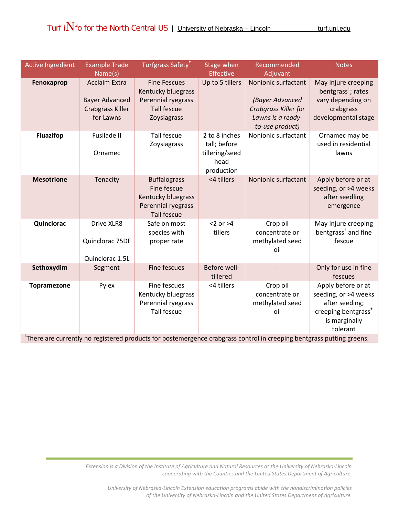| <b>Active Ingredient</b> | <b>Example Trade</b><br>Name(s)                                                       | Turfgrass Safety <sup>+</sup>                                                                        | Stage when<br><b>Effective</b>                                        | Recommended<br>Adjuvant                                                                                | <b>Notes</b>                                                                                                                 |
|--------------------------|---------------------------------------------------------------------------------------|------------------------------------------------------------------------------------------------------|-----------------------------------------------------------------------|--------------------------------------------------------------------------------------------------------|------------------------------------------------------------------------------------------------------------------------------|
| Fenoxaprop               | <b>Acclaim Extra</b><br><b>Bayer Advanced</b><br><b>Crabgrass Killer</b><br>for Lawns | <b>Fine Fescues</b><br>Kentucky bluegrass<br>Perennial ryegrass<br><b>Tall fescue</b><br>Zoysiagrass | Up to 5 tillers                                                       | Nonionic surfactant<br>(Bayer Advanced<br>Crabgrass Killer for<br>Lawns is a ready-<br>to-use product) | May injure creeping<br>bentgrass <sup>+</sup> ; rates<br>vary depending on<br>crabgrass<br>developmental stage               |
| <b>Fluazifop</b>         | Fusilade II<br>Ornamec                                                                | <b>Tall fescue</b><br>Zoysiagrass                                                                    | 2 to 8 inches<br>tall; before<br>tillering/seed<br>head<br>production | Nonionic surfactant                                                                                    | Ornamec may be<br>used in residential<br>lawns                                                                               |
| <b>Mesotrione</b>        | Tenacity                                                                              | <b>Buffalograss</b><br>Fine fescue<br>Kentucky bluegrass<br>Perennial ryegrass<br><b>Tall fescue</b> | <4 tillers                                                            | Nonionic surfactant                                                                                    | Apply before or at<br>seeding, or >4 weeks<br>after seedling<br>emergence                                                    |
| Quinclorac               | Drive XLR8<br>Quinclorac 75DF<br>Quinclorac 1.5L                                      | Safe on most<br>species with<br>proper rate                                                          | $<$ 2 or $>$ 4<br>tillers                                             | Crop oil<br>concentrate or<br>methylated seed<br>oil                                                   | May injure creeping<br>bentgrass <sup>†</sup> and fine<br>fescue                                                             |
| Sethoxydim               | Segment                                                                               | Fine fescues                                                                                         | Before well-<br>tillered                                              |                                                                                                        | Only for use in fine<br>fescues                                                                                              |
| <b>Topramezone</b>       | Pylex                                                                                 | Fine fescues<br>Kentucky bluegrass<br>Perennial ryegrass<br><b>Tall fescue</b>                       | <4 tillers                                                            | Crop oil<br>concentrate or<br>methylated seed<br>oil                                                   | Apply before or at<br>seeding, or >4 weeks<br>after seeding;<br>creeping bentgrass <sup>+</sup><br>is marginally<br>tolerant |

<sup>+</sup>There are currently no registered products for postemergence crabgrass control in creeping bentgrass putting greens.

*Extension is a Division of the Institute of Agriculture and Natural Resources at the University of Nebraska-Lincoln cooperating with the Counties and the United States Department of Agriculture.*

*University of Nebraska-Lincoln Extension education programs abide with the nondiscrimination policies of the University of Nebraska-Lincoln and the United States Department of Agriculture.*